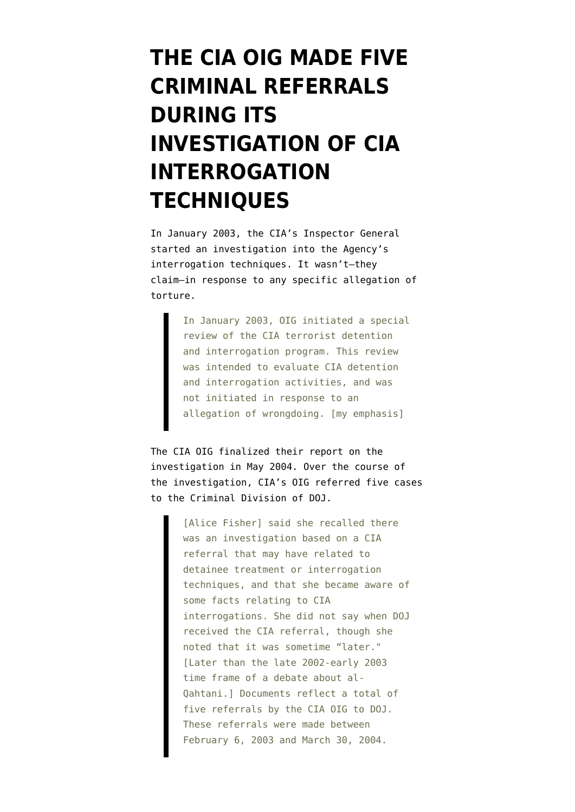## **[THE CIA OIG MADE FIVE](https://www.emptywheel.net/2008/05/27/the-cia-oig-made-five-criminal-referrals-during-its-investigation-of-cia-interrogation-techniques/) [CRIMINAL REFERRALS](https://www.emptywheel.net/2008/05/27/the-cia-oig-made-five-criminal-referrals-during-its-investigation-of-cia-interrogation-techniques/) [DURING ITS](https://www.emptywheel.net/2008/05/27/the-cia-oig-made-five-criminal-referrals-during-its-investigation-of-cia-interrogation-techniques/) [INVESTIGATION OF CIA](https://www.emptywheel.net/2008/05/27/the-cia-oig-made-five-criminal-referrals-during-its-investigation-of-cia-interrogation-techniques/) [INTERROGATION](https://www.emptywheel.net/2008/05/27/the-cia-oig-made-five-criminal-referrals-during-its-investigation-of-cia-interrogation-techniques/) [TECHNIQUES](https://www.emptywheel.net/2008/05/27/the-cia-oig-made-five-criminal-referrals-during-its-investigation-of-cia-interrogation-techniques/)**

In January 2003, the CIA's Inspector General [started](http://static1.firedoglake.com/28/files//2008/01/080110-oig-declaration.pdf) an investigation into the Agency's interrogation techniques. It wasn't–they claim–in response to any specific allegation of torture.

> In January 2003, OIG initiated a special review of the CIA terrorist detention and interrogation program. This review was intended to evaluate CIA detention and interrogation activities, and was not initiated in response to an allegation of wrongdoing. [my emphasis]

The CIA OIG finalized their report on the investigation in May 2004. Over the course of the investigation, CIA's OIG [referred](http://emptywheel.firedoglake.com/2008/05/26/working-thread-doj-ig-report-on-torture/#comment-71378) five cases to the Criminal Division of DOJ.

> [Alice Fisher] said she recalled there was an investigation based on a CIA referral that may have related to detainee treatment or interrogation techniques, and that she became aware of some facts relating to CIA interrogations. She did not say when DOJ received the CIA referral, though she noted that it was sometime "later." [Later than the late 2002-early 2003 time frame of a debate about al-Qahtani.] Documents reflect a total of five referrals by the CIA OIG to DOJ. These referrals were made between February 6, 2003 and March 30, 2004.